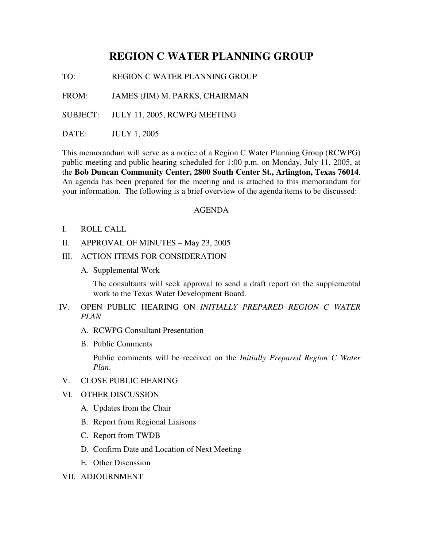## **REGION C WATER PLANNING GROUP**

TO: REGION C WATER PLANNING GROUP

FROM: JAMES (JIM) M. PARKS, CHAIRMAN

SUBJECT: JULY 11, 2005, RCWPG MEETING

DATE: JULY 1, 2005

This memorandum will serve as a notice of a Region C Water Planning Group (RCWPG) public meeting and public hearing scheduled for 1:00 p.m. on Monday, July 11, 2005, at the **Bob Duncan Community Center, 2800 South Center St., Arlington, Texas 76014**. An agenda has been prepared for the meeting and is attached to this memorandum for your information. The following is a brief overview of the agenda items to be discussed:

## AGENDA

- I. ROLL CALL
- II. APPROVAL OF MINUTES May 23, 2005
- III. ACTION ITEMS FOR CONSIDERATION
	- A. Supplemental Work

The consultants will seek approval to send a draft report on the supplemental work to the Texas Water Development Board.

- IV. OPEN PUBLIC HEARING ON *INITIALLY PREPARED REGION C WATER PLAN*
	- A. RCWPG Consultant Presentation
	- B. Public Comments

Public comments will be received on the *Initially Prepared Region C Water Plan*.

- V. CLOSE PUBLIC HEARING
- VI. OTHER DISCUSSION
	- A. Updates from the Chair
	- B. Report from Regional Liaisons
	- C. Report from TWDB
	- D. Confirm Date and Location of Next Meeting
	- E. Other Discussion
- VII. ADJOURNMENT